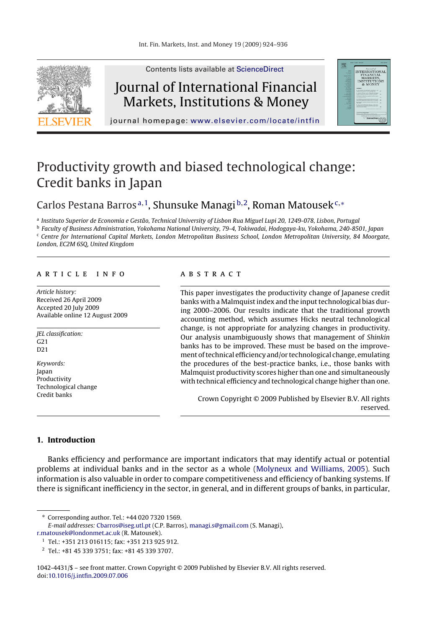

Contents lists available at [ScienceDirect](http://www.sciencedirect.com/science/journal/10424431)

## Journal of International Financial Markets, Institutions & Money



journal homepage: [www.elsevier.com/locate/intfin](http://www.elsevier.com/locate/intfin)

# Productivity growth and biased technological change: Credit banks in Japan

### Carlos Pestana Barros<sup>a, 1</sup>, Shunsuke Managi<sup>b, 2</sup>, Roman Matousek<sup>c,\*</sup>

<sup>a</sup> Instituto Superior de Economia e Gestão, Technical University of Lisbon Rua Miguel Lupi 20, 1249-078, Lisbon, Portugal

<sup>b</sup> Faculty of Business Administration, Yokohama National University, 79-4, Tokiwadai, Hodogaya-ku, Yokohama, 240-8501, Japan  $c$  Centre for International Capital Markets, London Metropolitan Business School, London Metropolitan University, 84 Moorgate, London, EC2M 6SQ, United Kingdom

#### article info

Article history: Received 26 April 2009 Accepted 20 July 2009 Available online 12 August 2009

JEL classification: G21 D21

Keywords: Japan Productivity Technological change Credit banks

#### **ABSTRACT**

This paper investigates the productivity change of Japanese credit banks with a Malmquist index and the input technological bias during 2000–2006. Our results indicate that the traditional growth accounting method, which assumes Hicks neutral technological change, is not appropriate for analyzing changes in productivity. Our analysis unambiguously shows that management of Shinkin banks has to be improved. These must be based on the improvement of technical efficiency and/or technological change, emulating the procedures of the best-practice banks, i.e., those banks with Malmquist productivity scores higher than one and simultaneously with technical efficiency and technological change higher than one.

Crown Copyright © 2009 Published by Elsevier B.V. All rights reserved.

#### **1. Introduction**

Banks efficiency and performance are important indicators that may identify actual or potential problems at individual banks and in the sector as a whole ([Molyneux and Williams, 2005\).](#page--1-0) Such information is also valuable in order to compare competitiveness and efficiency of banking systems. If there is significant inefficiency in the sector, in general, and in different groups of banks, in particular,

1042-4431/\$ – see front matter. Crown Copyright © 2009 Published by Elsevier B.V. All rights reserved. doi[:10.1016/j.intfin.2009.07.006](dx.doi.org/10.1016/j.intfin.2009.07.006)

<sup>∗</sup> Corresponding author. Tel.: +44 020 7320 1569.

E-mail addresses: [Cbarros@iseg.utl.pt](mailto:Cbarros@iseg.utl.pt) (C.P. Barros), [managi.s@gmail.com](mailto:managi.s@gmail.com) (S. Managi),

[r.matousek@londonmet.ac.uk](mailto:r.matousek@londonmet.ac.uk) (R. Matousek).

<sup>1</sup> Tel.: +351 213 016115; fax: +351 213 925 912.

<sup>2</sup> Tel.: +81 45 339 3751; fax: +81 45 339 3707.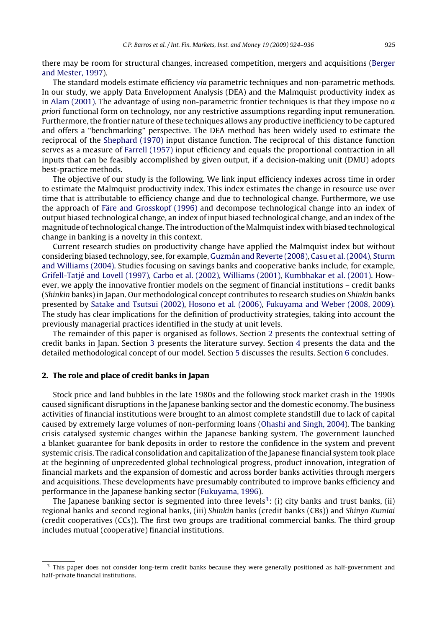there may be room for structural changes, increased competition, mergers and acquisitions ([Berger](#page--1-0) [and Mester, 1997\).](#page--1-0)

The standard models estimate efficiency via parametric techniques and non-parametric methods. In our study, we apply Data Envelopment Analysis (DEA) and the Malmquist productivity index as in [Alam \(2001\). T](#page--1-0)he advantage of using non-parametric frontier techniques is that they impose no  $\alpha$ priori functional form on technology, nor any restrictive assumptions regarding input remuneration. Furthermore, the frontier nature of these techniques allows any productive inefficiency to be captured and offers a "benchmarking" perspective. The DEA method has been widely used to estimate the reciprocal of the [Shephard \(1970\)](#page--1-0) input distance function. The reciprocal of this distance function serves as a measure of [Farrell \(1957\)](#page--1-0) input efficiency and equals the proportional contraction in all inputs that can be feasibly accomplished by given output, if a decision-making unit (DMU) adopts best-practice methods.

The objective of our study is the following. We link input efficiency indexes across time in order to estimate the Malmquist productivity index. This index estimates the change in resource use over time that is attributable to efficiency change and due to technological change. Furthermore, we use the approach of [Färe and Grosskopf \(1996\)](#page--1-0) and decompose technological change into an index of output biased technological change, an index of input biased technological change, and an index of the magnitude of technological change. The introduction of the Malmquist index with biased technological change in banking is a novelty in this context.

Current research studies on productivity change have applied the Malmquist index but without considering biased technology, see, for example, [Guzmán and Reverte \(2008\),](#page--1-0) [Casu et al. \(2004\),](#page--1-0) [Sturm](#page--1-0) [and Williams \(2004\). S](#page--1-0)tudies focusing on savings banks and cooperative banks include, for example, [Grifell-Tatjé and Lovell \(1997\),](#page--1-0) [Carbo et al. \(2002\),](#page--1-0) [Williams \(2001\),](#page--1-0) [Kumbhakar et al. \(2001\). H](#page--1-0)owever, we apply the innovative frontier models on the segment of financial institutions – credit banks (Shinkin banks) in Japan. Our methodological concept contributes to research studies on Shinkin banks presented by [Satake and Tsutsui \(2002\),](#page--1-0) [Hosono et al. \(2006\),](#page--1-0) [Fukuyama and Weber \(2008, 2009\).](#page--1-0) The study has clear implications for the definition of productivity strategies, taking into account the previously managerial practices identified in the study at unit levels.

The remainder of this paper is organised as follows. Section 2 presents the contextual setting of credit banks in Japan. Section [3](#page--1-0) presents the literature survey. Section [4](#page--1-0) presents the data and the detailed methodological concept of our model. Section [5](#page--1-0) discusses the results. Section [6](#page--1-0) concludes.

#### **2. The role and place of credit banks in Japan**

Stock price and land bubbles in the late 1980s and the following stock market crash in the 1990s caused significant disruptions in the Japanese banking sector and the domestic economy. The business activities of financial institutions were brought to an almost complete standstill due to lack of capital caused by extremely large volumes of non-performing loans ([Ohashi and Singh, 2004\).](#page--1-0) The banking crisis catalysed systemic changes within the Japanese banking system. The government launched a blanket guarantee for bank deposits in order to restore the confidence in the system and prevent systemic crisis. The radical consolidation and capitalization of the Japanese financial system took place at the beginning of unprecedented global technological progress, product innovation, integration of financial markets and the expansion of domestic and across border banks activities through mergers and acquisitions. These developments have presumably contributed to improve banks efficiency and performance in the Japanese banking sector [\(Fukuyama, 1996\).](#page--1-0)

The Japanese banking sector is segmented into three levels<sup>3</sup>: (i) city banks and trust banks, (ii) regional banks and second regional banks, (iii) Shinkin banks (credit banks (CBs)) and Shinyo Kumiai (credit cooperatives (CCs)). The first two groups are traditional commercial banks. The third group includes mutual (cooperative) financial institutions.

 $3$  This paper does not consider long-term credit banks because they were generally positioned as half-government and half-private financial institutions.